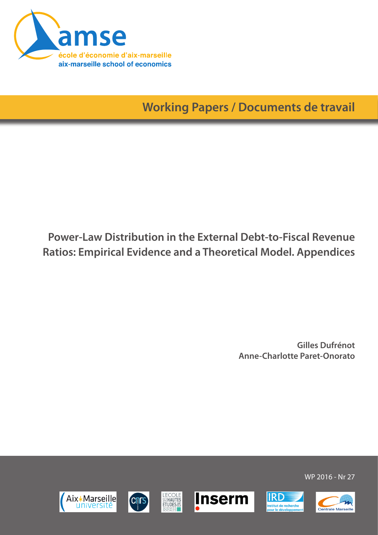

**Working Papers / Documents de travail**

# **Power-Law Distribution in the External Debt-to-Fiscal Revenue Ratios: Empirical Evidence and a Theoretical Model. Appendices**

**Gilles Dufrénot Anne-Charlotte Paret-Onorato**













WP 2016 - Nr 27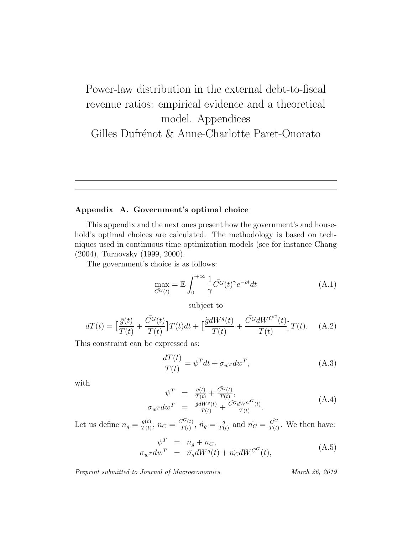# Power-law distribution in the external debt-to-fiscal revenue ratios: empirical evidence and a theoretical model. Appendices Gilles Dufrénot & Anne-Charlotte Paret-Onorato

#### Appendix A. Government's optimal choice

This appendix and the next ones present how the government's and household's optimal choices are calculated. The methodology is based on techniques used in continuous time optimization models (see for instance Chang (2004), Turnovsky (1999, 2000).

The government's choice is as follows:

$$
\max_{\overline{C}^G(t)} = \mathbb{E} \int_0^{+\infty} \frac{1}{\gamma} \overline{C}^G(t)^\gamma e^{-\rho t} dt \tag{A.1}
$$

subject to

$$
dT(t) = \left[\frac{\bar{g}(t)}{T(t)} + \frac{\bar{C}^G(t)}{T(t)}\right]T(t)dt + \left[\frac{\tilde{g}dW^g(t)}{T(t)} + \frac{\tilde{C}^G dW^{C^G}(t)}{T(t)}\right]T(t). \quad (A.2)
$$

This constraint can be expressed as:

$$
\frac{dT(t)}{T(t)} = \psi^T dt + \sigma_{w^T} dw^T,
$$
\n(A.3)

with

$$
\psi^T = \frac{\bar{g}(t)}{T(t)} + \frac{\bar{C}^G(t)}{T(t)},
$$
\n
$$
\sigma_w \tau dw^T = \frac{\tilde{g}dW^g(t)}{T(t)} + \frac{\tilde{C}^G dW^{C^G}(t)}{T(t)}.
$$
\n(A.4)

Let us define  $n_g = \frac{\bar{g}(t)}{T(t)}$  $\frac{\bar{g}(t)}{T(t)}, n_C = \frac{\bar{C^G}(t)}{T(t)}$  $\frac{\tilde{C}^{G}(t)}{T(t)},\ \tilde{n_{g}}=\frac{\tilde{g}}{T(t)}$  $\frac{\tilde{g}}{T(t)}$  and  $\tilde{n_C} = \frac{\tilde{C}^G}{T(t)}$  $\frac{C^G}{T(t)}$ . We then have:

$$
\psi^T = n_g + n_C,
$$
  
\n
$$
\sigma_{w^T} dw^T = \tilde{n_g} dW^g(t) + \tilde{n_C} dW^{C^G}(t),
$$
\n(A.5)

Preprint submitted to Journal of Macroeconomics March 26, 2019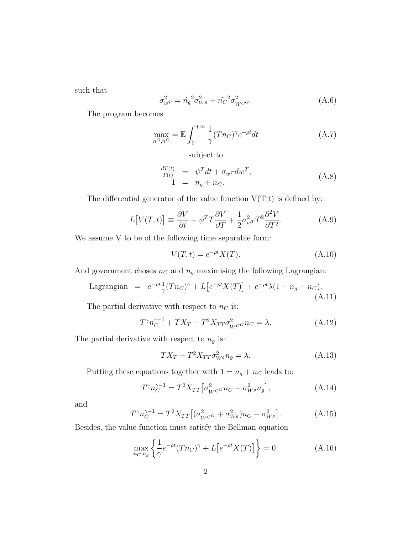such that

$$
\sigma_{w}^2 = \tilde{n}_g^2 \sigma_{W^g}^2 + \tilde{n}_C^2 \sigma_{W^C}^2. \tag{A.6}
$$

The program becomes

$$
\max_{n^G, n^C} = \mathbb{E} \int_0^{+\infty} \frac{1}{\gamma} (T n_C)^\gamma e^{-\rho t} dt \tag{A.7}
$$

subject to

$$
\frac{dT(t)}{T(t)} = \psi^T dt + \sigma_{w^T} dw^T,
$$
\n
$$
1 = n_g + n_C.
$$
\n(A.8)

The differential generator of the value function  $V(T,t)$  is defined by:

$$
L[V(T,t)] \equiv \frac{\partial V}{\partial t} + \psi^T T \frac{\partial V}{\partial T} + \frac{1}{2} \sigma_{w}^2 T^2 \frac{\partial^2 V}{\partial T^2}.
$$
 (A.9)

We assume V to be of the following time separable form:

$$
V(T,t) = e^{-\rho t} X(T). \tag{A.10}
$$

And government choses  $n_C$  and  $n_g$  maximising the following Lagrangian:

Lagrangian = 
$$
e^{-\rho t} \frac{1}{\gamma} (T n_C)^\gamma + L \left[ e^{-\rho t} X(T) \right] + e^{-\rho t} \lambda (1 - n_g - n_C).
$$
 (A.11)

The partial derivative with respect to  $n<sub>C</sub>$  is:

$$
T^{\gamma}n_C^{\gamma-1} + TX_T - T^2X_{TT}\sigma_{W^C}^2n_C = \lambda.
$$
 (A.12)

The partial derivative with respect to  $n_g$  is:

$$
TX_T - T^2 X_{TT} \sigma_{W^g}^2 n_g = \lambda.
$$
\n(A.13)

Putting these equations together with  $1 = n_g + n_C$  leads to:

$$
T^{\gamma} n_C^{\gamma - 1} = T^2 X_{TT} \left[ \sigma_{W^C}^2 n_C - \sigma_{W^g}^2 n_g \right], \tag{A.14}
$$

and

$$
T^{\gamma} n_C^{\gamma - 1} = T^2 X_{TT} \left[ (\sigma_{W^C}^2 + \sigma_{W^g}^2) n_C - \sigma_{W^g}^2 \right]. \tag{A.15}
$$

Besides, the value function must satisfy the Bellman equation

$$
\max_{n_C, n_g} \left\{ \frac{1}{\gamma} e^{-\rho t} (T n_C)^\gamma + L \left[ e^{-\rho t} X(T) \right] \right\} = 0. \tag{A.16}
$$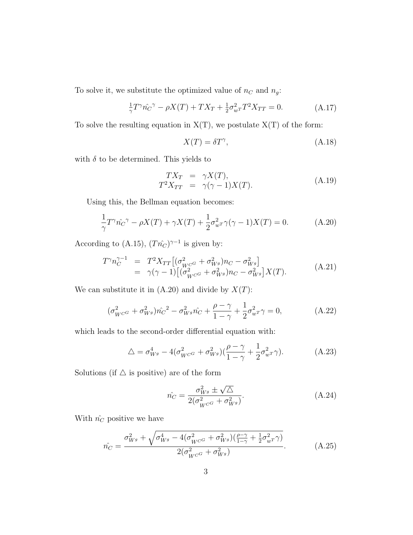To solve it, we substitute the optimized value of  $n<sub>C</sub>$  and  $n<sub>g</sub>$ :

$$
\frac{1}{\gamma}T^{\gamma}\hat{n_{C}}^{\gamma} - \rho X(T) + TX_{T} + \frac{1}{2}\sigma_{wT}^{2}T^{2}X_{TT} = 0.
$$
 (A.17)

To solve the resulting equation in  $X(T)$ , we postulate  $X(T)$  of the form:

$$
X(T) = \delta T^{\gamma},\tag{A.18}
$$

with  $\delta$  to be determined. This yields to

$$
TX_T = \gamma X(T),
$$
  
\n
$$
T^2 X_{TT} = \gamma(\gamma - 1)X(T).
$$
\n(A.19)

Using this, the Bellman equation becomes:

$$
\frac{1}{\gamma}T^{\gamma}\hat{n_{C}}^{\gamma} - \rho X(T) + \gamma X(T) + \frac{1}{2}\sigma_{w}^{2}\gamma(\gamma - 1)X(T) = 0.
$$
 (A.20)

According to (A.15),  $(Tn_C^{\hat{}})^{\gamma-1}$  is given by:

$$
T^{\gamma} n_C^{\gamma - 1} = T^2 X_{TT} \left[ (\sigma_{W^{CG}}^2 + \sigma_{W^g}^2) n_C - \sigma_{W^g}^2 \right] = \gamma (\gamma - 1) \left[ (\sigma_{W^{CG}}^2 + \sigma_{W^g}^2) n_C - \sigma_{W^g}^2 \right] X(T).
$$
 (A.21)

We can substitute it in  $(A.20)$  and divide by  $X(T)$ :

$$
(\sigma_{W^{C}}^2 + \sigma_{W^g}^2) \hat{n_C}^2 - \sigma_{W^g}^2 \hat{n_C} + \frac{\rho - \gamma}{1 - \gamma} + \frac{1}{2} \sigma_{w^T}^2 \gamma = 0, \tag{A.22}
$$

which leads to the second-order differential equation with:

$$
\triangle = \sigma_{W^g}^4 - 4(\sigma_{W^{C}}^2 + \sigma_{W^g}^2)(\frac{\rho - \gamma}{1 - \gamma} + \frac{1}{2}\sigma_{w^T}^2\gamma). \tag{A.23}
$$

Solutions (if  $\Delta$  is positive) are of the form

$$
\hat{n_C} = \frac{\sigma_{W^g}^2 \pm \sqrt{\Delta}}{2(\sigma_{W^{CG}}^2 + \sigma_{W^g}^2)}.
$$
\n(A.24)

With  $\hat{n_C}$  positive we have

$$
\hat{n_C} = \frac{\sigma_{W^g}^2 + \sqrt{\sigma_{W^g}^4 - 4(\sigma_{W^c}^2 + \sigma_{W^g}^2)(\frac{\rho - \gamma}{1 - \gamma} + \frac{1}{2}\sigma_{w^T}^2 \gamma)}}{2(\sigma_{W^c}^2 + \sigma_{W^g}^2)}.
$$
(A.25)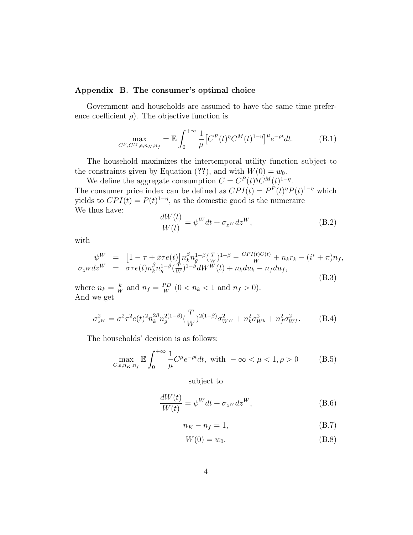#### Appendix B. The consumer's optimal choice

Government and households are assumed to have the same time preference coefficient  $\rho$ ). The objective function is

$$
\max_{C^P, C^M, e, n_K, n_f} = \mathbb{E} \int_0^{+\infty} \frac{1}{\mu} \left[ C^P(t)^{\eta} C^M(t)^{1-\eta} \right]^{\mu} e^{-\rho t} dt. \tag{B.1}
$$

The household maximizes the intertemporal utility function subject to the constraints given by Equation (??), and with  $W(0) = w_0$ .

We define the aggregate consumption  $C = C^{P}(t)^{\eta} C^{M}(t)^{1-\eta}$ . The consumer price index can be defined as  $CPI(t) = P<sup>P</sup>(t)<sup>η</sup>P(t)<sup>1-η</sup>$  which yields to  $CPI(t) = P(t)^{1-\eta}$ , as the domestic good is the numeraire We thus have:

$$
\frac{dW(t)}{W(t)} = \psi^W dt + \sigma_z w dz^W,
$$
\n(B.2)

with

$$
\psi^{W} = [1 - \tau + \bar{x}\tau e(t)] n_{k}^{\beta} n_{g}^{1-\beta} (\frac{T}{W})^{1-\beta} - \frac{CPI(t)C(t)}{W} + n_{k}r_{k} - (i^{*} + \pi)n_{f},
$$
  
\n
$$
\sigma_{z^{W}} dz^{W} = \sigma \tau e(t) n_{k}^{\beta} n_{g}^{1-\beta} (\frac{T}{W})^{1-\beta} dW^{W}(t) + n_{k} du_{k} - n_{f} du_{f},
$$
\n(B.3)

where  $n_k = \frac{k}{W}$  $\frac{k}{W}$  and  $n_f = \frac{PD}{W}$  $\frac{\rho_D}{W}$  (0 <  $n_k$  < 1 and  $n_f > 0$ ). And we get

$$
\sigma_{zW}^2 = \sigma^2 \tau^2 e(t)^2 n_k^{2\beta} n_g^{2(1-\beta)} \left(\frac{T}{W}\right)^{2(1-\beta)} \sigma_{WW}^2 + n_k^2 \sigma_{W^k}^2 + n_f^2 \sigma_{W^f}^2. \tag{B.4}
$$

The households' decision is as follows:

$$
\max_{C, e, n_K, n_f} \mathbb{E} \int_0^{+\infty} \frac{1}{\mu} C^{\mu} e^{-\rho t} dt, \text{ with } -\infty < \mu < 1, \rho > 0 \tag{B.5}
$$

subject to

$$
\frac{dW(t)}{W(t)} = \psi^W dt + \sigma_{z^W} dz^W,
$$
\n(B.6)

$$
n_K - n_f = 1,\t\t(B.7)
$$

$$
W(0) = w_0. \tag{B.8}
$$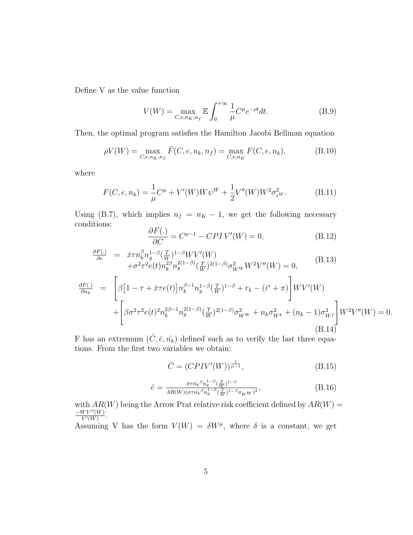Define V as the value function

$$
V(W) = \max_{C, e, n_K, n_f} \mathbb{E} \int_0^{+\infty} \frac{1}{\mu} C^{\mu} e^{-\rho t} dt.
$$
 (B.9)

Then, the optimal program satisfies the Hamilton Jacobi Bellman equation

$$
\rho V(W) = \max_{C, e, n_K, n_f} \tilde{F}(C, e, n_k, n_f) = \max_{C, e, n_K} F(C, e, n_k),
$$
\n(B.10)

where

$$
F(C, e, n_k) = \frac{1}{\mu} C^{\mu} + V'(W) W \psi^W + \frac{1}{2} V''(W) W^2 \sigma_{zW}^2.
$$
 (B.11)

Using (B.7), which implies  $n_f = n_K - 1$ , we get the following necessary conditions:

$$
\frac{\partial F(.)}{\partial C} = C^{\mu - 1} - CPI V'(W) = 0,
$$
\n(B.12)

$$
\frac{\partial F(.)}{\partial e} = \bar{x}\tau n_k^{\beta} n_g^{1-\beta} (\frac{T}{W})^{1-\beta} W V'(W) \n+ \sigma^2 \tau^2 e(t) n_k^{\beta \beta} n_g^{2(1-\beta)} (\frac{T}{W})^{2(1-\beta)} \sigma_{WW}^2 W^2 V''(W) = 0, \qquad (B.13)
$$
\n
$$
\frac{\partial F(.)}{\partial n_k} = \left[ \beta \left[ 1 - \tau + \bar{x}\tau e(t) \right] n_k^{\beta - 1} n_g^{1-\beta} (\frac{T}{W})^{1-\beta} + r_k - (i^* + \pi) \right] W V'(W) \n+ \left[ \beta \sigma^2 \tau^2 e(t)^2 n_k^{2\beta - 1} n_g^{2(1-\beta)} (\frac{T}{W})^{2(1-\beta)} \sigma_{WW}^2 + n_k \sigma_{W^k}^2 + (n_k - 1) \sigma_{W^f}^2 \right] W^2 V''(W) = 0.
$$
\n(B.14)

F has an extremum  $(\tilde{C}, \hat{e}, \hat{n_k})$  defined such as to verify the last three equations. From the first two variables we obtain:

$$
\hat{C} = (CPIV'(W))^{\frac{1}{\mu - 1}},
$$
\n(B.15)

$$
\hat{e} = \frac{\bar{x}\tau \hat{n_k}^{\beta} n_g^{1-\beta} (\frac{T}{W})^{1-\beta}}{AR(W)(\sigma \tau \hat{n_k}^{\beta} n_g^{1-\beta} (\frac{T}{W})^{1-\beta} \sigma_W w)^2},
$$
(B.16)

with  $AR(W)$  being the Arrow Prat relative risk coefficient defined by  $AR(W)$  =  $-WV''(W)$  $\frac{WV^{\alpha}(W)}{V'(W)}$ .

Assuming V has the form  $V(W) = \delta W^{\mu}$ , where  $\delta$  is a constant, we get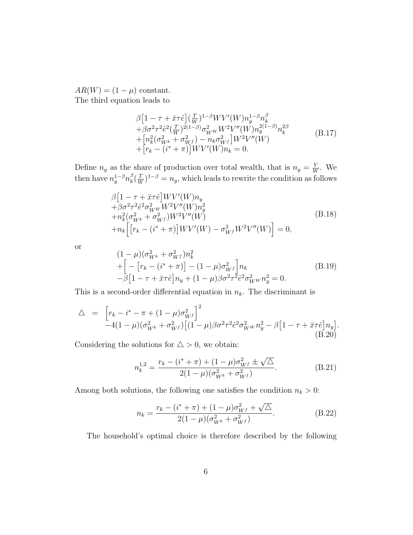$AR(W) = (1 - \mu)$  constant. The third equation leads to

β

$$
\beta \left[ 1 - \tau + \bar{x}\tau \hat{e} \right] \left( \frac{T}{W} \right)^{1-\beta} W V'(W) n_g^{1-\beta} n_k^{\beta} \n+ \beta \sigma^2 \tau^2 \hat{e}^2 \left( \frac{T}{W} \right)^{2(1-\beta)} \sigma_{WW}^2 W^2 V''(W) n_g^{2(1-\beta)} n_k^{2\beta} \n+ \left[ n_k^2 (\sigma_{W^k}^2 + \sigma_{W^f}^2) - n_k \sigma_{W^f}^2 \right] W^2 V''(W) \n+ \left[ r_k - (i^* + \pi) \right] W V'(W) n_k = 0.
$$
\n(B.17)

Define  $n_y$  as the share of production over total wealth, that is  $n_y = \frac{Y}{W}$  $\frac{Y}{W}$ . We then have  $n_g^{1-\beta} n_k^{\beta}$  $_{k}^{\beta}(\frac{T}{W}% )_{k}^{\beta}(\omega)$  $(\frac{T}{W})^{1-\beta} = n_y$ , which leads to rewrite the condition as follows

$$
\beta[1 - \tau + \bar{x}\tau \hat{e}] W V'(W) n_y \n+ \beta \sigma^2 \tau^2 \hat{e}^2 \sigma_{WW}^2 W^2 V''(W) n_y^2 \n+ n_k^2 (\sigma_{W^k}^2 + \sigma_{W^f}^2) W^2 V''(W) \n+ n_k \Big[ [r_k - (i^* + \pi)] W V'(W) - \sigma_{W^f}^2 W^2 V''(W) \Big] = 0,
$$
\n(B.18)

or

$$
(1 - \mu)(\sigma_{W^k}^2 + \sigma_{W^f}^2)n_k^2 + \left[ -\left[r_k - (i^* + \pi)\right] - (1 - \mu)\sigma_{W^f}^2\right]n_k - \beta\left[1 - \tau + \bar{x}\tau\hat{e}\right]n_y + (1 - \mu)\beta\sigma^2\tau^2\hat{e}^2\sigma_{W^W}^2n_y^2 = 0.
$$
\n(B.19)

This is a second-order differential equation in  $n_k$ . The discriminant is

$$
\Delta = \left[ r_k - i^* - \pi + (1 - \mu) \sigma_{Wf}^2 \right]^2
$$
  
-4(1 - \mu)(\sigma\_{Wk}^2 + \sigma\_{Wf}^2) [(1 - \mu)\beta \sigma^2 \tau^2 \hat{e}^2 \sigma\_{WW}^2 n\_y^2 - \beta [1 - \tau + \bar{x}\tau \hat{e}] n\_y].  
(B.20)

Considering the solutions for  $\Delta > 0$ , we obtain:

$$
n_k^{1,2} = \frac{r_k - (i^* + \pi) + (1 - \mu)\sigma_{Wf}^2 \pm \sqrt{\Delta}}{2(1 - \mu)(\sigma_{W^k}^2 + \sigma_{Wf}^2)}.
$$
 (B.21)

Among both solutions, the following one satisfies the condition  $n_k > 0$ :

$$
n_k = \frac{r_k - (i^* + \pi) + (1 - \mu)\sigma_{Wf}^2 + \sqrt{\Delta}}{2(1 - \mu)(\sigma_{Wk}^2 + \sigma_{Wf}^2)}.
$$
 (B.22)

The household's optimal choice is therefore described by the following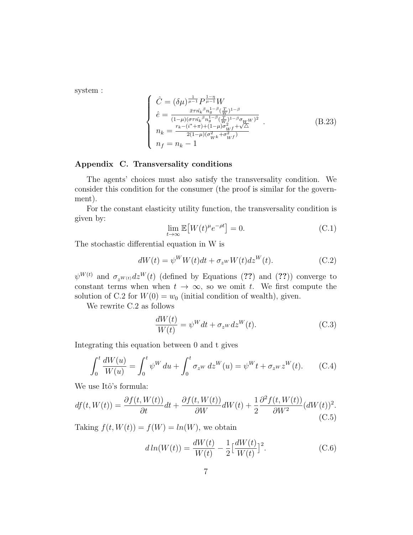system :

$$
\begin{cases}\n\hat{C} = (\delta \mu)^{\frac{1}{\mu-1}} P^{\frac{1-\eta}{\mu-1}} W \\
\hat{e} = \frac{\bar{x} \tau \hat{n_k}^{\beta} n_g^{1-\beta} (\frac{T}{W})^{1-\beta}}{(1-\mu)(\sigma \tau \hat{n_k}^{\beta} n_g^{1-\beta} (\frac{T}{W})^{1-\beta} \sigma_{WW})^2} \\
n_k = \frac{r_k - (i^* + \pi) + (1-\mu)\sigma_{Wf}^2 + \sqrt{\Delta}}{2(1-\mu)(\sigma_{Wk}^2 + \sigma_{Wf}^2)} \\
n_f = n_k - 1\n\end{cases} (B.23)
$$

#### Appendix C. Transversality conditions

The agents' choices must also satisfy the transversality condition. We consider this condition for the consumer (the proof is similar for the government).

For the constant elasticity utility function, the transversality condition is given by:

$$
\lim_{t \to \infty} \mathbb{E}\left[W(t)^{\mu} e^{-\rho t}\right] = 0. \tag{C.1}
$$

The stochastic differential equation in W is

$$
dW(t) = \psi^W W(t) dt + \sigma_{z^W} W(t) dz^W(t).
$$
 (C.2)

 $\psi^{W(t)}$  and  $\sigma_{z^{W(t)}}dz^W(t)$  (defined by Equations (??) and (??)) converge to constant terms when when  $t \to \infty$ , so we omit t. We first compute the solution of C.2 for  $W(0) = w_0$  (initial condition of wealth), given.

We rewrite C.2 as follows

$$
\frac{dW(t)}{W(t)} = \psi^W dt + \sigma_{z^W} dz^W(t). \tag{C.3}
$$

Integrating this equation between 0 and t gives

$$
\int_0^t \frac{dW(u)}{W(u)} = \int_0^t \psi^W du + \int_0^t \sigma_{z^W} dz^W(u) = \psi^W t + \sigma_{z^W} z^W(t). \tag{C.4}
$$

We use Itô's formula:

$$
df(t, W(t)) = \frac{\partial f(t, W(t))}{\partial t} dt + \frac{\partial f(t, W(t))}{\partial W} dW(t) + \frac{1}{2} \frac{\partial^2 f(t, W(t))}{\partial W^2} (dW(t))^2.
$$
\n(C.5)

Taking  $f(t, W(t)) = f(W) = ln(W)$ , we obtain

$$
d\ln(W(t)) = \frac{dW(t)}{W(t)} - \frac{1}{2} \left[ \frac{dW(t)}{W(t)} \right]^2.
$$
 (C.6)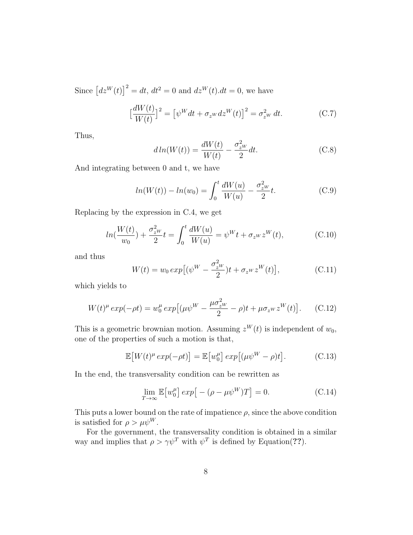Since  $[dx^{W}(t)]^{2} = dt$ ,  $dt^{2} = 0$  and  $dz^{W}(t) dt = 0$ , we have

$$
\left[\frac{dW(t)}{W(t)}\right]^2 = \left[\psi^W dt + \sigma_{z^W} dz^W(t)\right]^2 = \sigma_{z^W}^2 dt. \tag{C.7}
$$

Thus,

$$
d\ln(W(t)) = \frac{dW(t)}{W(t)} - \frac{\sigma_{zW}^2}{2}dt.
$$
 (C.8)

And integrating between 0 and t, we have

$$
ln(W(t)) - ln(w_0) = \int_0^t \frac{dW(u)}{W(u)} - \frac{\sigma_{zW}^2}{2} t.
$$
 (C.9)

Replacing by the expression in C.4, we get

$$
ln(\frac{W(t)}{w_0}) + \frac{\sigma_{zW}^2}{2}t = \int_0^t \frac{dW(u)}{W(u)} = \psi^W t + \sigma_{zW} z^W(t), \tag{C.10}
$$

and thus

$$
W(t) = w_0 \exp[(\psi^W - \frac{\sigma_{z^W}^2}{2})t + \sigma_{z^W} z^W(t)],
$$
 (C.11)

which yields to

$$
W(t)^{\mu} \exp(-\rho t) = w_0^{\mu} \exp\left[ (\mu \psi^W - \frac{\mu \sigma_{z^W}^2}{2} - \rho)t + \mu \sigma_{z^W} z^W(t) \right]. \tag{C.12}
$$

This is a geometric brownian motion. Assuming  $z^W(t)$  is independent of  $w_0$ , one of the properties of such a motion is that,

$$
\mathbb{E}\left[W(t)^{\mu} \exp(-\rho t)\right] = \mathbb{E}\left[w_0^{\mu}\right] \exp\left[(\mu \psi^W - \rho)t\right].\tag{C.13}
$$

In the end, the transversality condition can be rewritten as

$$
\lim_{T \to \infty} \mathbb{E}\left[w_0^{\mu}\right] \exp\left[-(\rho - \mu \psi^W)T\right] = 0. \tag{C.14}
$$

This puts a lower bound on the rate of impatience  $\rho$ , since the above condition is satisfied for  $\rho > \mu \psi^W$ .

For the government, the transversality condition is obtained in a similar way and implies that  $\rho > \gamma \psi^T$  with  $\psi^T$  is defined by Equation(??).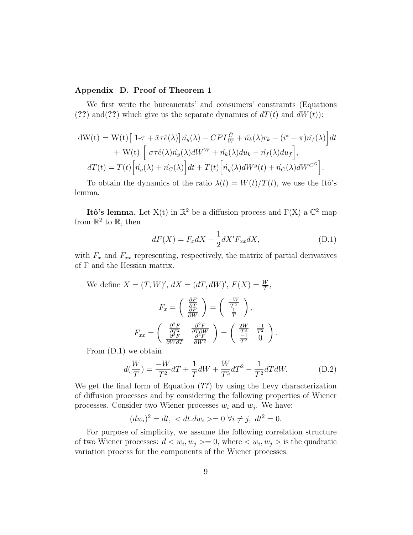#### Appendix D. Proof of Theorem 1

We first write the bureaucrats' and consumers' constraints (Equations (??) and (??) which give us the separate dynamics of  $dT(t)$  and  $dW(t)$ :

$$
dW(t) = W(t) \left[ 1-\tau + \bar{x}\tau \hat{e}(\lambda) \right] \hat{n_y}(\lambda) - CPI \frac{\hat{C}}{W} + \hat{n_k}(\lambda) r_k - (i^* + \pi) \hat{n_f}(\lambda) \Big] dt + W(t) \left[ \sigma \tau \hat{e}(\lambda) \hat{n_y}(\lambda) dW^W + \hat{n_k}(\lambda) du_k - \hat{n_f}(\lambda) du_f \right],
$$
  

$$
dT(t) = T(t) \left[ \hat{n_g}(\lambda) + \hat{n_C}(\lambda) \right] dt + T(t) \left[ \hat{n_g}(\lambda) dW^g(t) + \hat{n_C}(\lambda) dW^{C^G} \right].
$$

To obtain the dynamics of the ratio  $\lambda(t) = W(t)/T(t)$ , we use the Itô's lemma.

Itô's lemma. Let  $X(t)$  in  $\mathbb{R}^2$  be a diffusion process and  $F(X)$  a  $\mathbb{C}^2$  map from  $\mathbb{R}^2$  to  $\mathbb{R}$ , then

$$
dF(X) = F_x dX + \frac{1}{2} dX' F_{xx} dX,
$$
\n(D.1)

with  $F_x$  and  $F_{xx}$  representing, respectively, the matrix of partial derivatives of F and the Hessian matrix.

We define 
$$
X = (T, W)'
$$
,  $dX = (dT, dW)'$ ,  $F(X) = \frac{W}{T}$ ,  
\n
$$
F_x = \begin{pmatrix} \frac{\partial F}{\partial T} \\ \frac{\partial F}{\partial W} \end{pmatrix} = \begin{pmatrix} \frac{-W}{T^2} \\ \frac{1}{T} \end{pmatrix},
$$
\n
$$
F_{xx} = \begin{pmatrix} \frac{\partial^2 F}{\partial T^2} & \frac{\partial^2 F}{\partial T \partial W} \\ \frac{\partial^2 F}{\partial W \partial T} & \frac{\partial^2 F}{\partial W^2} \end{pmatrix} = \begin{pmatrix} \frac{2W}{T^3} & \frac{-1}{T^2} \\ \frac{-1}{T^2} & 0 \end{pmatrix}.
$$

From (D.1) we obtain

$$
d(\frac{W}{T}) = \frac{-W}{T^2}dT + \frac{1}{T}dW + \frac{W}{T^3}dT^2 - \frac{1}{T^2}dT dW.
$$
 (D.2)

We get the final form of Equation (??) by using the Levy characterization of diffusion processes and by considering the following properties of Wiener processes. Consider two Wiener processes  $w_i$  and  $w_j$ . We have:

$$
(dw_i)^2 = dt, < dt. dw_i > = 0 \ \forall i \neq j, \ dt^2 = 0.
$$

For purpose of simplicity, we assume the following correlation structure of two Wiener processes:  $d < w_i, w_j > = 0$ , where  $\langle w_i, w_j \rangle$  is the quadratic variation process for the components of the Wiener processes.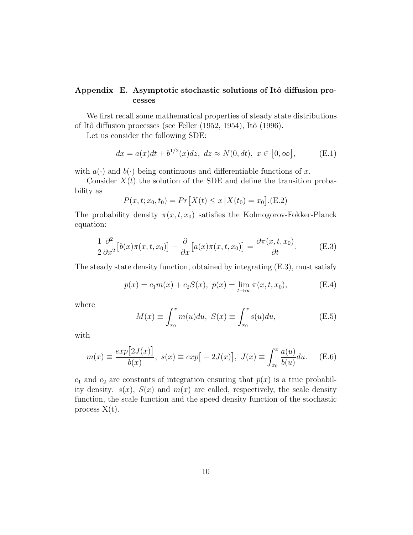## Appendix E. Asymptotic stochastic solutions of Itô diffusion processes

We first recall some mathematical properties of steady state distributions of Itô diffusion processes (see Feller (1952, 1954), Itô (1996).

Let us consider the following SDE:

$$
dx = a(x)dt + b^{1/2}(x)dz, \ dz \approx N(0, dt), \ x \in [0, \infty],
$$
 (E.1)

with  $a(\cdot)$  and  $b(\cdot)$  being continuous and differentiable functions of x.

Consider  $X(t)$  the solution of the SDE and define the transition probability as

$$
P(x, t; x_0, t_0) = Pr[X(t) \le x | X(t_0) = x_0].
$$
 (E.2)

The probability density  $\pi(x, t, x_0)$  satisfies the Kolmogorov-Fokker-Planck equation:

$$
\frac{1}{2}\frac{\partial^2}{\partial x^2}\big[b(x)\pi(x,t,x_0)\big] - \frac{\partial}{\partial x}\big[a(x)\pi(x,t,x_0)\big] = \frac{\partial\pi(x,t,x_0)}{\partial t}.
$$
 (E.3)

The steady state density function, obtained by integrating (E.3), must satisfy

$$
p(x) = c_1 m(x) + c_2 S(x), \ p(x) = \lim_{t \to \infty} \pi(x, t, x_0), \tag{E.4}
$$

where

$$
M(x) \equiv \int_{x_0}^x m(u) du, \ S(x) \equiv \int_{x_0}^x s(u) du,
$$
 (E.5)

with

$$
m(x) \equiv \frac{exp[2J(x)]}{b(x)}, \ s(x) \equiv exp[-2J(x)], \ J(x) \equiv \int_{x_0}^{x} \frac{a(u)}{b(u)} du. \tag{E.6}
$$

 $c_1$  and  $c_2$  are constants of integration ensuring that  $p(x)$  is a true probability density.  $s(x)$ ,  $S(x)$  and  $m(x)$  are called, respectively, the scale density function, the scale function and the speed density function of the stochastic process  $X(t)$ .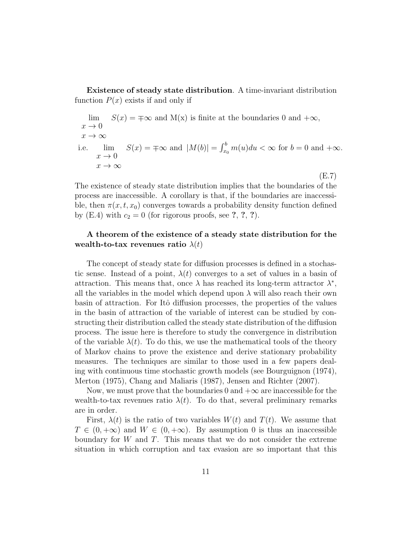Existence of steady state distribution. A time-invariant distribution function  $P(x)$  exists if and only if

$$
\lim_{x \to 0} S(x) = \pm \infty \text{ and } M(x) \text{ is finite at the boundaries } 0 \text{ and } +\infty,
$$
  
\n
$$
x \to 0
$$
  
\ni.e. 
$$
\lim_{x \to 0} S(x) = \pm \infty \text{ and } |M(b)| = \int_{x_0}^{b} m(u) du < \infty \text{ for } b = 0 \text{ and } +\infty.
$$
  
\n
$$
x \to \infty
$$
  
\n(E.7)

The existence of steady state distribution implies that the boundaries of the process are inaccessible. A corollary is that, if the boundaries are inaccessible, then  $\pi(x, t, x_0)$  converges towards a probability density function defined by (E.4) with  $c_2 = 0$  (for rigorous proofs, see ?, ?, ?).

### A theorem of the existence of a steady state distribution for the wealth-to-tax revenues ratio  $\lambda(t)$

The concept of steady state for diffusion processes is defined in a stochastic sense. Instead of a point,  $\lambda(t)$  converges to a set of values in a basin of attraction. This means that, once  $\lambda$  has reached its long-term attractor  $\lambda^*$ , all the variables in the model which depend upon  $\lambda$  will also reach their own basin of attraction. For Itô diffusion processes, the properties of the values in the basin of attraction of the variable of interest can be studied by constructing their distribution called the steady state distribution of the diffusion process. The issue here is therefore to study the convergence in distribution of the variable  $\lambda(t)$ . To do this, we use the mathematical tools of the theory of Markov chains to prove the existence and derive stationary probability measures. The techniques are similar to those used in a few papers dealing with continuous time stochastic growth models (see Bourguignon (1974), Merton (1975), Chang and Maliaris (1987), Jensen and Richter (2007).

Now, we must prove that the boundaries 0 and  $+\infty$  are inaccessible for the wealth-to-tax revenues ratio  $\lambda(t)$ . To do that, several preliminary remarks are in order.

First,  $\lambda(t)$  is the ratio of two variables  $W(t)$  and  $T(t)$ . We assume that  $T \in (0, +\infty)$  and  $W \in (0, +\infty)$ . By assumption 0 is thus an inaccessible boundary for W and T. This means that we do not consider the extreme situation in which corruption and tax evasion are so important that this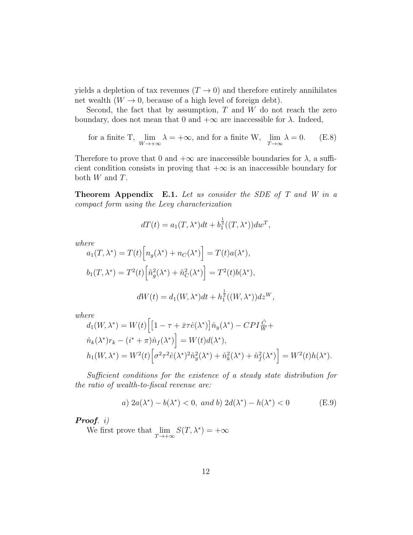yields a depletion of tax revenues  $(T \to 0)$  and therefore entirely annihilates net wealth  $(W \to 0$ , because of a high level of foreign debt).

Second, the fact that by assumption,  $T$  and  $W$  do not reach the zero boundary, does not mean that 0 and  $+\infty$  are inaccessible for  $\lambda$ . Indeed,

for a finite T, 
$$
\lim_{W \to +\infty} \lambda = +\infty
$$
, and for a finite W,  $\lim_{T \to \infty} \lambda = 0$ . (E.8)

Therefore to prove that 0 and  $+\infty$  are inaccessible boundaries for  $\lambda$ , a sufficient condition consists in proving that  $+\infty$  is an inaccessible boundary for both  $W$  and  $T$ .

Theorem Appendix E.1. Let us consider the SDE of T and W in a compact form using the Levy characterization

$$
dT(t) = a_1(T, \lambda^*)dt + b_1^{\frac{1}{2}}((T, \lambda^*))dw^T,
$$

where

$$
a_1(T, \lambda^*) = T(t) \Big[ n_g(\lambda^*) + n_C(\lambda^*) \Big] = T(t) a(\lambda^*),
$$
  

$$
b_1(T, \lambda^*) = T^2(t) \Big[ \tilde{n}_g^2(\lambda^*) + \tilde{n}_C^2(\lambda^*) \Big] = T^2(t) b(\lambda^*),
$$
  

$$
dW(t) = d_1(W, \lambda^*) dt + h_1^{\frac{1}{2}}((W, \lambda^*)) dz^W,
$$

where

$$
d_1(W, \lambda^*) = W(t) \Big[ \Big[ 1 - \tau + \bar{x}\tau \hat{e}(\lambda^*) \Big] \hat{n}_y(\lambda^*) - CPI \frac{\hat{C}}{W} +
$$
  
\n
$$
\hat{n}_k(\lambda^*) r_k - (i^* + \pi) \hat{n}_f(\lambda^*) \Big] = W(t) d(\lambda^*),
$$
  
\n
$$
h_1(W, \lambda^*) = W^2(t) \Big[ \sigma^2 \tau^2 \hat{e}(\lambda^*)^2 \hat{n}_y^2(\lambda^*) + \hat{n}_k^2(\lambda^*) + \hat{n}_f^2(\lambda^*) \Big] = W^2(t) h(\lambda^*).
$$

Sufficient conditions for the existence of a steady state distribution for the ratio of wealth-to-fiscal revenue are:

a) 
$$
2a(\lambda^*) - b(\lambda^*) < 0
$$
, and b)  $2d(\lambda^*) - h(\lambda^*) < 0$  (E.9)

Proof. i)

We first prove that  $\lim_{T \to +\infty} S(T, \lambda^*) = +\infty$